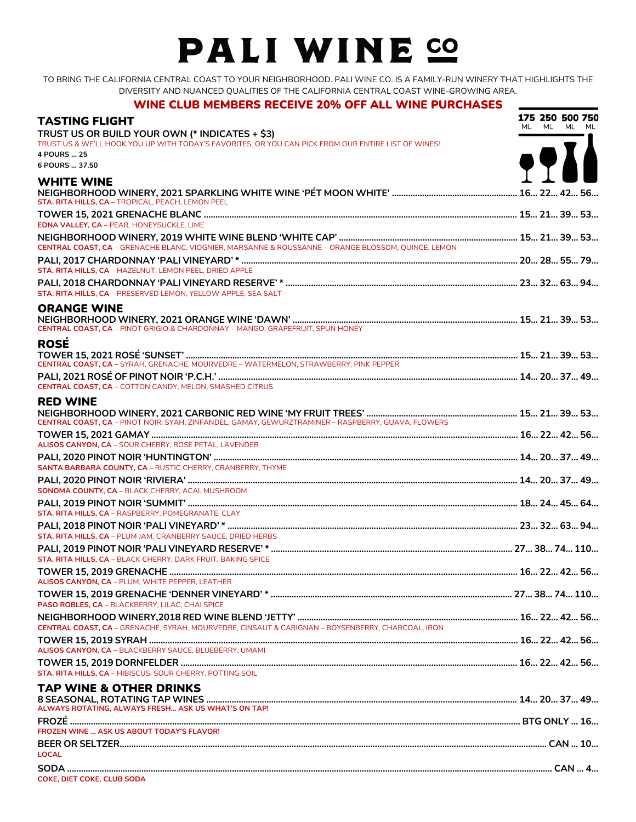## PALI WINE SO

TO BRING THE CALIFORNIA CENTRAL COAST TO YOUR NEIGHBORHOOD. PALI WINE CO. IS A FAMILY-RUN WINERY THAT HIGHLIGHTS THE DIVERSITY AND NUANCED QUALITIES OF THE CALIFORNIA CENTRAL COAST WINE-GROWING AREA.

## WINE CLUB MEMBERS RECEIVE 20% OFF ALL WINE PURCHASES

| <b>TASTING FLIGHT</b>                                                                                              | 175 250 500 750<br>ML ML ML ML |
|--------------------------------------------------------------------------------------------------------------------|--------------------------------|
| TRUST US OR BUILD YOUR OWN (* INDICATES + \$3)                                                                     |                                |
| TRUST US & WE'LL HOOK YOU UP WITH TODAY'S FAVORITES, OR YOU CAN PICK FROM OUR ENTIRE LIST OF WINES!<br>4 POURS  25 |                                |
| 6 POURS  37.50                                                                                                     | <b>TAST</b>                    |
|                                                                                                                    |                                |
| <b>WHITE WINE</b><br>STA. RITA HILLS, CA - TROPICAL, PEACH, LEMON PEEL                                             |                                |
|                                                                                                                    |                                |
| <b>EDNA VALLEY, CA - PEAR, HONEYSUCKLE, LIME</b>                                                                   |                                |
| CENTRAL COAST, CA - GRENACHE BLANC, VIOGNIER, MARSANNE & ROUSSANNE - ORANGE BLOSSOM, QUINCE, LEMON                 |                                |
|                                                                                                                    |                                |
| STA. RITA HILLS, CA - HAZELNUT, LEMON PEEL, DRIED APPLE                                                            |                                |
|                                                                                                                    |                                |
| STA. RITA HILLS, CA - PRESERVED LEMON, YELLOW APPLE, SEA SALT                                                      |                                |
| <b>ORANGE WINE</b><br><b>CENTRAL COAST, CA - PINOT GRIGIO &amp; CHARDONNAY - MANGO, GRAPEFRUIT, SPUN HONEY</b>     |                                |
| <b>ROSÉ</b>                                                                                                        |                                |
|                                                                                                                    |                                |
|                                                                                                                    |                                |
|                                                                                                                    |                                |
| <b>CENTRAL COAST, CA - COTTON CANDY, MELON, SMASHED CITRUS</b>                                                     |                                |
| <b>RED WINE</b>                                                                                                    |                                |
|                                                                                                                    |                                |
|                                                                                                                    |                                |
| ALISOS CANYON, CA - SOUR CHERRY, ROSE PETAL, LAVENDER                                                              |                                |
| SANTA BARBARA COUNTY, CA - RUSTIC CHERRY, CRANBERRY, THYME                                                         |                                |
|                                                                                                                    |                                |
| SONOMA COUNTY, CA - BLACK CHERRY, ACAI, MUSHROOM                                                                   |                                |
|                                                                                                                    |                                |
| STA. RITA HILLS, CA - RASPBERRY, POMEGRANATE, CLAY                                                                 |                                |
| STA, RITA HILLS, CA - PLUM JAM, CRANBERRY SAUCE, DRIED HERBS                                                       |                                |
|                                                                                                                    |                                |
| STA. RITA HILLS, CA - BLACK CHERRY, DARK FRUIT, BAKING SPICE                                                       |                                |
|                                                                                                                    |                                |
| ALISOS CANYON, CA - PLUM, WHITE PEPPER, LEATHER                                                                    |                                |
|                                                                                                                    |                                |
| PASO ROBLES, CA - BLACKBERRY, LILAC, CHAI SPICE                                                                    |                                |
| CENTRAL COAST, CA - GRENACHE, SYRAH, MOURVEDRE, CINSAUT & CARIGNAN - BOYSENBERRY, CHARCOAL, IRON                   |                                |
|                                                                                                                    |                                |
| ALISOS CANYON, CA - BLACKBERRY SAUCE, BLUEBERRY, UMAMI                                                             |                                |
|                                                                                                                    |                                |
| STA. RITA HILLS, CA - HIBISCUS, SOUR CHERRY, POTTING SOIL                                                          |                                |
| <b>TAP WINE &amp; OTHER DRINKS</b>                                                                                 |                                |
| ALWAYS ROTATING, ALWAYS FRESH ASK US WHAT'S ON TAP!                                                                |                                |
|                                                                                                                    |                                |
| <b>FROZEN WINE  ASK US ABOUT TODAY'S FLAVOR!</b>                                                                   |                                |
|                                                                                                                    |                                |
| <b>LOCAL</b>                                                                                                       |                                |
|                                                                                                                    |                                |
| COKE, DIET COKE, CLUB SODA                                                                                         |                                |